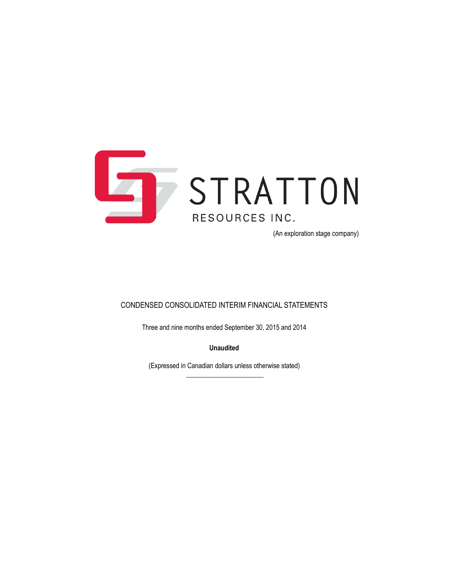

(An exploration stage company)

### CONDENSED CONSOLIDATED INTERIM FINANCIAL STATEMENTS

Three and nine months ended September 30, 2015 and 2014

**Unaudited**

(Expressed in Canadian dollars unless otherwise stated)  $\overline{\phantom{a}}$  , where the contract of the contract of the contract of the contract of the contract of the contract of the contract of the contract of the contract of the contract of the contract of the contract of the contr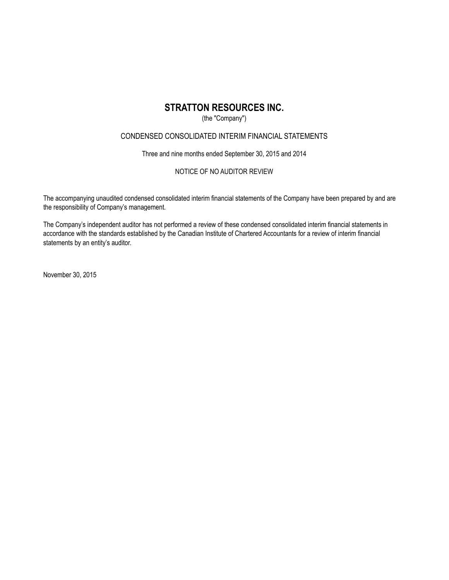### (the "Company")

### CONDENSED CONSOLIDATED INTERIM FINANCIAL STATEMENTS

Three and nine months ended September 30, 2015 and 2014

### NOTICE OF NO AUDITOR REVIEW

The accompanying unaudited condensed consolidated interim financial statements of the Company have been prepared by and are the responsibility of Company's management.

The Company's independent auditor has not performed a review of these condensed consolidated interim financial statements in accordance with the standards established by the Canadian Institute of Chartered Accountants for a review of interim financial statements by an entity's auditor.

November 30, 2015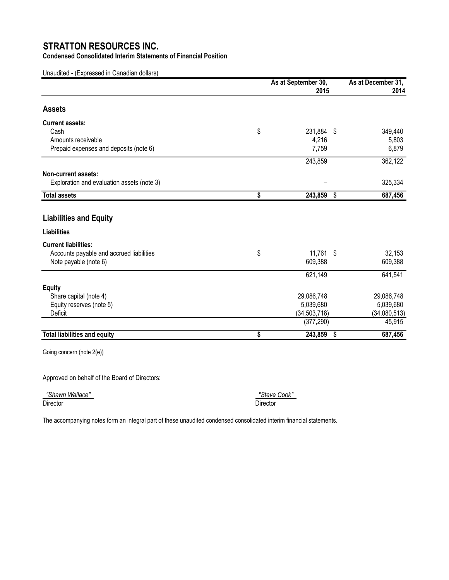**Condensed Consolidated Interim Statements of Financial Position**

Unaudited - (Expressed in Canadian dollars)

|                                            | As at September 30,<br>2015 | As at December 31,<br>2014 |
|--------------------------------------------|-----------------------------|----------------------------|
| <b>Assets</b>                              |                             |                            |
| <b>Current assets:</b>                     |                             |                            |
| Cash                                       | \$<br>231,884 \$            | 349,440                    |
| Amounts receivable                         | 4,216                       | 5,803                      |
| Prepaid expenses and deposits (note 6)     | 7,759                       | 6,879                      |
|                                            | 243,859                     | 362,122                    |
| Non-current assets:                        |                             |                            |
| Exploration and evaluation assets (note 3) |                             | 325,334                    |
| <b>Total assets</b>                        | \$<br>243,859               | \$<br>687,456              |
| <b>Liabilities and Equity</b>              |                             |                            |
| <b>Liabilities</b>                         |                             |                            |
| <b>Current liabilities:</b>                |                             |                            |
| Accounts payable and accrued liabilities   | \$<br>11,761 \$             | 32,153                     |
| Note payable (note 6)                      | 609,388                     | 609,388                    |
|                                            | 621,149                     | 641,541                    |
| <b>Equity</b>                              |                             |                            |
| Share capital (note 4)                     | 29,086,748                  | 29,086,748                 |
| Equity reserves (note 5)                   | 5,039,680                   | 5,039,680                  |
| Deficit                                    | (34, 503, 718)              | (34,080,513)               |
|                                            | (377, 290)                  | 45,915                     |
| <b>Total liabilities and equity</b>        | \$<br>243,859               | \$<br>687,456              |

Going concern (note 2(e))

Approved on behalf of the Board of Directors:

 *"Shawn Wallace" "Steve Cook"*  Director Director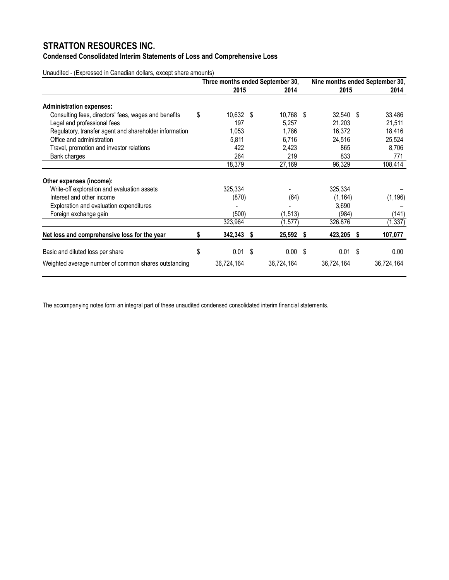### **Condensed Consolidated Interim Statements of Loss and Comprehensive Loss**

Unaudited - (Expressed in Canadian dollars, except share amounts)

|                                                        | Three months ended September 30, |            |    |              | Nine months ended September 30, |  |            |  |
|--------------------------------------------------------|----------------------------------|------------|----|--------------|---------------------------------|--|------------|--|
|                                                        |                                  | 2015       |    | 2014         | 2015                            |  | 2014       |  |
| <b>Administration expenses:</b>                        |                                  |            |    |              |                                 |  |            |  |
| Consulting fees, directors' fees, wages and benefits   | \$                               | 10,632     | \$ | 10,768 \$    | 32,540 \$                       |  | 33,486     |  |
| Legal and professional fees                            |                                  | 197        |    | 5,257        | 21,203                          |  | 21,511     |  |
| Regulatory, transfer agent and shareholder information |                                  | 1,053      |    | 1,786        | 16,372                          |  | 18,416     |  |
| Office and administration                              |                                  | 5,811      |    | 6,716        | 24,516                          |  | 25,524     |  |
| Travel, promotion and investor relations               |                                  | 422        |    | 2,423        | 865                             |  | 8,706      |  |
| Bank charges                                           |                                  | 264        |    | 219          | 833                             |  | 771        |  |
|                                                        |                                  | 18,379     |    | 27,169       | 96,329                          |  | 108,414    |  |
| Other expenses (income):                               |                                  |            |    |              |                                 |  |            |  |
| Write-off exploration and evaluation assets            |                                  | 325,334    |    |              | 325,334                         |  |            |  |
| Interest and other income                              |                                  | (870)      |    | (64)         | (1, 164)                        |  | (1, 196)   |  |
| Exploration and evaluation expenditures                |                                  |            |    |              | 3,690                           |  |            |  |
| Foreign exchange gain                                  |                                  | (500)      |    | (1, 513)     | (984)                           |  | (141)      |  |
|                                                        |                                  | 323,964    |    | (1, 577)     | 326,876                         |  | (1, 337)   |  |
| Net loss and comprehensive loss for the year           | 5                                | 342,343 \$ |    | 25,592 \$    | 423,205 \$                      |  | 107,077    |  |
| Basic and diluted loss per share                       | \$                               | 0.01       | \$ | $0.00 \,$ \$ | $0.01$ \$                       |  | 0.00       |  |
| Weighted average number of common shares outstanding   |                                  | 36,724,164 |    | 36,724,164   | 36,724,164                      |  | 36,724,164 |  |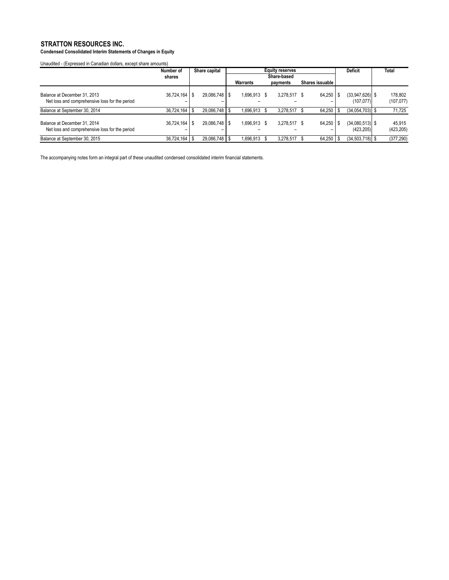**Condensed Consolidated Interim Statements of Changes in Equity**

Unaudited - (Expressed in Canadian dollars, except share amounts)

|                                                                                | Number of         | Share capital   | <b>Equity reserves</b> |  |              |  |                 |  | <b>Deficit</b>                  | <b>Total</b>          |
|--------------------------------------------------------------------------------|-------------------|-----------------|------------------------|--|--------------|--|-----------------|--|---------------------------------|-----------------------|
|                                                                                | shares            |                 | Share-based            |  |              |  |                 |  |                                 |                       |
|                                                                                |                   |                 | Warrants               |  | payments     |  | Shares issuable |  |                                 |                       |
| Balance at December 31, 2013<br>Net loss and comprehensive loss for the period | 36,724,164        | 29.086.748   \$ | 1,696,913 \$           |  | 3.278.517 \$ |  | $64.250$ S      |  | $(33.947.626)$ \$<br>(107,077)  | 178.802<br>(107, 077) |
| Balance at September 30, 2014                                                  | $36,724,164$ \ \$ | 29,086,748   \$ | 1,696,913              |  | 3,278,517    |  | $64,250$ \ \$   |  | $(34.054.703)$ \$               | 71,725                |
| Balance at December 31, 2014<br>Net loss and comprehensive loss for the period | 36,724,164        | 29.086.748   \$ | 1,696,913 \$           |  | 3,278,517 \$ |  | $64,250$ \$     |  | $(34,080,513)$ \$<br>(423, 205) | 45.915<br>(423, 205)  |
| Balance at September 30, 2015                                                  | 36,724,164        | 29,086,748   \$ | 1,696,913              |  | 3,278,517    |  | $64,250$ \ \$   |  | $(34,503,718)$ \$               | (377, 290)            |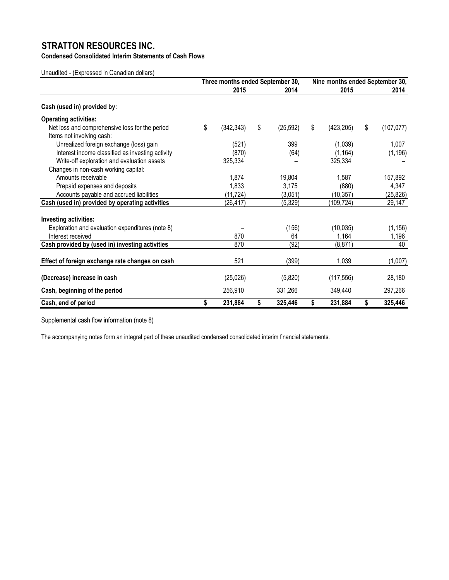**Condensed Consolidated Interim Statements of Cash Flows**

Unaudited - (Expressed in Canadian dollars)

|                                                                             | Three months ended September 30, |            |    |           |    | Nine months ended September 30, |    |            |  |  |
|-----------------------------------------------------------------------------|----------------------------------|------------|----|-----------|----|---------------------------------|----|------------|--|--|
|                                                                             |                                  | 2015       |    | 2014      |    | 2015                            |    | 2014       |  |  |
| Cash (used in) provided by:                                                 |                                  |            |    |           |    |                                 |    |            |  |  |
| <b>Operating activities:</b>                                                |                                  |            |    |           |    |                                 |    |            |  |  |
| Net loss and comprehensive loss for the period<br>Items not involving cash: | \$                               | (342, 343) | \$ | (25, 592) | \$ | (423, 205)                      | \$ | (107, 077) |  |  |
| Unrealized foreign exchange (loss) gain                                     |                                  | (521)      |    | 399       |    | (1,039)                         |    | 1,007      |  |  |
| Interest income classified as investing activity                            |                                  | (870)      |    | (64)      |    | (1, 164)                        |    | (1, 196)   |  |  |
| Write-off exploration and evaluation assets                                 |                                  | 325,334    |    |           |    | 325,334                         |    |            |  |  |
| Changes in non-cash working capital:                                        |                                  |            |    |           |    |                                 |    |            |  |  |
| Amounts receivable                                                          |                                  | 1,874      |    | 19,804    |    | 1,587                           |    | 157,892    |  |  |
| Prepaid expenses and deposits                                               |                                  | 1,833      |    | 3,175     |    | (880)                           |    | 4,347      |  |  |
| Accounts payable and accrued liabilities                                    |                                  | (11,724)   |    | (3,051)   |    | (10, 357)                       |    | (25, 826)  |  |  |
| Cash (used in) provided by operating activities                             |                                  | (26, 417)  |    | (5, 329)  |    | (109,724)                       |    | 29,147     |  |  |
| Investing activities:                                                       |                                  |            |    |           |    |                                 |    |            |  |  |
| Exploration and evaluation expenditures (note 8)                            |                                  |            |    | (156)     |    | (10, 035)                       |    | (1, 156)   |  |  |
| Interest received                                                           |                                  | 870        |    | 64        |    | 1,164                           |    | 1,196      |  |  |
| Cash provided by (used in) investing activities                             |                                  | 870        |    | (92)      |    | (8, 871)                        |    | 40         |  |  |
| Effect of foreign exchange rate changes on cash                             |                                  | 521        |    | (399)     |    | 1,039                           |    | (1,007)    |  |  |
| (Decrease) increase in cash                                                 |                                  | (25,026)   |    | (5,820)   |    | (117, 556)                      |    | 28,180     |  |  |
| Cash, beginning of the period                                               |                                  | 256,910    |    | 331,266   |    | 349,440                         |    | 297,266    |  |  |
| Cash, end of period                                                         | \$                               | 231,884    | \$ | 325,446   | \$ | 231,884                         | \$ | 325,446    |  |  |

Supplemental cash flow information (note 8)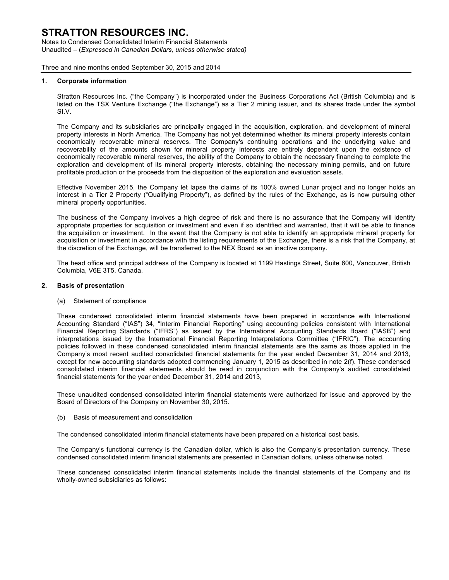Notes to Condensed Consolidated Interim Financial Statements Unaudited – (*Expressed in Canadian Dollars, unless otherwise stated)*

Three and nine months ended September 30, 2015 and 2014

### **1. Corporate information**

Stratton Resources Inc. ("the Company") is incorporated under the Business Corporations Act (British Columbia) and is listed on the TSX Venture Exchange ("the Exchange") as a Tier 2 mining issuer, and its shares trade under the symbol SI.V.

The Company and its subsidiaries are principally engaged in the acquisition, exploration, and development of mineral property interests in North America. The Company has not yet determined whether its mineral property interests contain economically recoverable mineral reserves. The Company's continuing operations and the underlying value and recoverability of the amounts shown for mineral property interests are entirely dependent upon the existence of economically recoverable mineral reserves, the ability of the Company to obtain the necessary financing to complete the exploration and development of its mineral property interests, obtaining the necessary mining permits, and on future profitable production or the proceeds from the disposition of the exploration and evaluation assets.

Effective November 2015, the Company let lapse the claims of its 100% owned Lunar project and no longer holds an interest in a Tier 2 Property ("Qualifying Property"), as defined by the rules of the Exchange, as is now pursuing other mineral property opportunities.

The business of the Company involves a high degree of risk and there is no assurance that the Company will identify appropriate properties for acquisition or investment and even if so identified and warranted, that it will be able to finance the acquisition or investment. In the event that the Company is not able to identify an appropriate mineral property for acquisition or investment in accordance with the listing requirements of the Exchange, there is a risk that the Company, at the discretion of the Exchange, will be transferred to the NEX Board as an inactive company.

The head office and principal address of the Company is located at 1199 Hastings Street, Suite 600, Vancouver, British Columbia, V6E 3T5. Canada.

### **2. Basis of presentation**

#### (a) Statement of compliance

These condensed consolidated interim financial statements have been prepared in accordance with International Accounting Standard ("IAS") 34, "Interim Financial Reporting" using accounting policies consistent with International Financial Reporting Standards ("IFRS") as issued by the International Accounting Standards Board ("IASB") and interpretations issued by the International Financial Reporting Interpretations Committee ("IFRIC"). The accounting policies followed in these condensed consolidated interim financial statements are the same as those applied in the Company's most recent audited consolidated financial statements for the year ended December 31, 2014 and 2013, except for new accounting standards adopted commencing January 1, 2015 as described in note 2(f). These condensed consolidated interim financial statements should be read in conjunction with the Company's audited consolidated financial statements for the year ended December 31, 2014 and 2013,

These unaudited condensed consolidated interim financial statements were authorized for issue and approved by the Board of Directors of the Company on November 30, 2015.

(b) Basis of measurement and consolidation

The condensed consolidated interim financial statements have been prepared on a historical cost basis.

The Company's functional currency is the Canadian dollar, which is also the Company's presentation currency. These condensed consolidated interim financial statements are presented in Canadian dollars, unless otherwise noted.

These condensed consolidated interim financial statements include the financial statements of the Company and its wholly-owned subsidiaries as follows: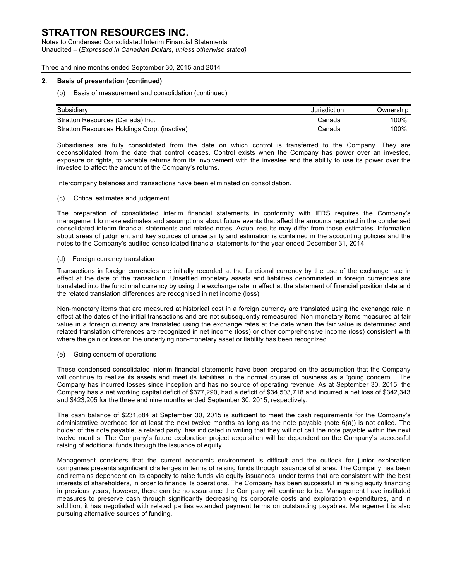Notes to Condensed Consolidated Interim Financial Statements Unaudited – (*Expressed in Canadian Dollars, unless otherwise stated)*

Three and nine months ended September 30, 2015 and 2014

### **2. Basis of presentation (continued)**

### (b) Basis of measurement and consolidation (continued)

| Subsidiary                                   | Jurisdiction | Ownership |
|----------------------------------------------|--------------|-----------|
| Stratton Resources (Canada) Inc.             | Canada       | 100%      |
| Stratton Resources Holdings Corp. (inactive) | Canada       | 100%      |

Subsidiaries are fully consolidated from the date on which control is transferred to the Company. They are deconsolidated from the date that control ceases. Control exists when the Company has power over an investee, exposure or rights, to variable returns from its involvement with the investee and the ability to use its power over the investee to affect the amount of the Company's returns.

Intercompany balances and transactions have been eliminated on consolidation.

### (c) Critical estimates and judgement

The preparation of consolidated interim financial statements in conformity with IFRS requires the Company's management to make estimates and assumptions about future events that affect the amounts reported in the condensed consolidated interim financial statements and related notes. Actual results may differ from those estimates. Information about areas of judgment and key sources of uncertainty and estimation is contained in the accounting policies and the notes to the Company's audited consolidated financial statements for the year ended December 31, 2014.

### (d) Foreign currency translation

Transactions in foreign currencies are initially recorded at the functional currency by the use of the exchange rate in effect at the date of the transaction. Unsettled monetary assets and liabilities denominated in foreign currencies are translated into the functional currency by using the exchange rate in effect at the statement of financial position date and the related translation differences are recognised in net income (loss).

Non-monetary items that are measured at historical cost in a foreign currency are translated using the exchange rate in effect at the dates of the initial transactions and are not subsequently remeasured. Non-monetary items measured at fair value in a foreign currency are translated using the exchange rates at the date when the fair value is determined and related translation differences are recognized in net income (loss) or other comprehensive income (loss) consistent with where the gain or loss on the underlying non-monetary asset or liability has been recognized.

#### (e) Going concern of operations

These condensed consolidated interim financial statements have been prepared on the assumption that the Company will continue to realize its assets and meet its liabilities in the normal course of business as a 'going concern'. The Company has incurred losses since inception and has no source of operating revenue. As at September 30, 2015, the Company has a net working capital deficit of \$377,290, had a deficit of \$34,503,718 and incurred a net loss of \$342,343 and \$423,205 for the three and nine months ended September 30, 2015, respectively.

The cash balance of \$231,884 at September 30, 2015 is sufficient to meet the cash requirements for the Company's administrative overhead for at least the next twelve months as long as the note payable (note 6(a)) is not called. The holder of the note payable, a related party, has indicated in writing that they will not call the note payable within the next twelve months. The Company's future exploration project acquisition will be dependent on the Company's successful raising of additional funds through the issuance of equity.

Management considers that the current economic environment is difficult and the outlook for junior exploration companies presents significant challenges in terms of raising funds through issuance of shares. The Company has been and remains dependent on its capacity to raise funds via equity issuances, under terms that are consistent with the best interests of shareholders, in order to finance its operations. The Company has been successful in raising equity financing in previous years, however, there can be no assurance the Company will continue to be. Management have instituted measures to preserve cash through significantly decreasing its corporate costs and exploration expenditures, and in addition, it has negotiated with related parties extended payment terms on outstanding payables. Management is also pursuing alternative sources of funding.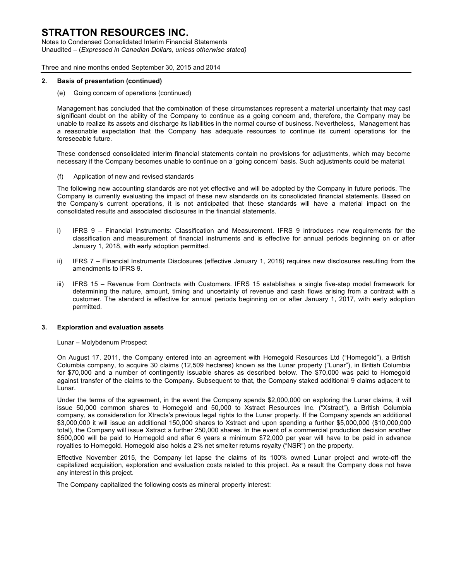Notes to Condensed Consolidated Interim Financial Statements Unaudited – (*Expressed in Canadian Dollars, unless otherwise stated)*

Three and nine months ended September 30, 2015 and 2014

### **2. Basis of presentation (continued)**

(e) Going concern of operations (continued)

Management has concluded that the combination of these circumstances represent a material uncertainty that may cast significant doubt on the ability of the Company to continue as a going concern and, therefore, the Company may be unable to realize its assets and discharge its liabilities in the normal course of business. Nevertheless, Management has a reasonable expectation that the Company has adequate resources to continue its current operations for the foreseeable future.

These condensed consolidated interim financial statements contain no provisions for adjustments, which may become necessary if the Company becomes unable to continue on a 'going concern' basis. Such adjustments could be material.

(f) Application of new and revised standards

The following new accounting standards are not yet effective and will be adopted by the Company in future periods. The Company is currently evaluating the impact of these new standards on its consolidated financial statements. Based on the Company's current operations, it is not anticipated that these standards will have a material impact on the consolidated results and associated disclosures in the financial statements.

- i) IFRS 9 Financial Instruments: Classification and Measurement. IFRS 9 introduces new requirements for the classification and measurement of financial instruments and is effective for annual periods beginning on or after January 1, 2018, with early adoption permitted.
- ii) IFRS 7 Financial Instruments Disclosures (effective January 1, 2018) requires new disclosures resulting from the amendments to IFRS 9.
- iii) IFRS 15 Revenue from Contracts with Customers. IFRS 15 establishes a single five-step model framework for determining the nature, amount, timing and uncertainty of revenue and cash flows arising from a contract with a customer. The standard is effective for annual periods beginning on or after January 1, 2017, with early adoption permitted.

#### **3. Exploration and evaluation assets**

Lunar – Molybdenum Prospect

On August 17, 2011, the Company entered into an agreement with Homegold Resources Ltd ("Homegold"), a British Columbia company, to acquire 30 claims (12,509 hectares) known as the Lunar property ("Lunar"), in British Columbia for \$70,000 and a number of contingently issuable shares as described below. The \$70,000 was paid to Homegold against transfer of the claims to the Company. Subsequent to that, the Company staked additional 9 claims adjacent to Lunar.

Under the terms of the agreement, in the event the Company spends \$2,000,000 on exploring the Lunar claims, it will issue 50,000 common shares to Homegold and 50,000 to Xstract Resources Inc. ("Xstract"), a British Columbia company, as consideration for Xtracts's previous legal rights to the Lunar property. If the Company spends an additional \$3,000,000 it will issue an additional 150,000 shares to Xstract and upon spending a further \$5,000,000 (\$10,000,000 total), the Company will issue Xstract a further 250,000 shares. In the event of a commercial production decision another \$500,000 will be paid to Homegold and after 6 years a minimum \$72,000 per year will have to be paid in advance royalties to Homegold. Homegold also holds a 2% net smelter returns royalty ("NSR") on the property.

Effective November 2015, the Company let lapse the claims of its 100% owned Lunar project and wrote-off the capitalized acquisition, exploration and evaluation costs related to this project. As a result the Company does not have any interest in this project.

The Company capitalized the following costs as mineral property interest: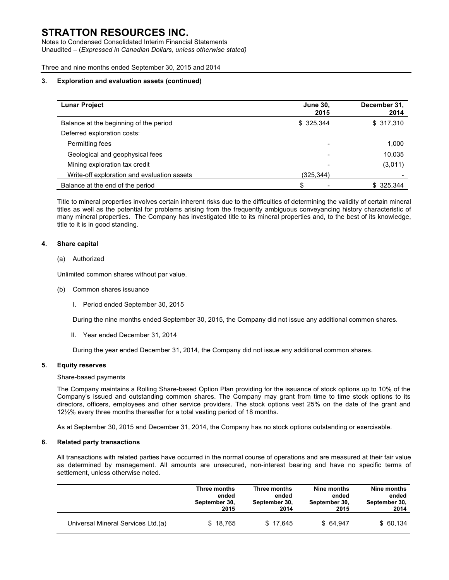Notes to Condensed Consolidated Interim Financial Statements Unaudited – (*Expressed in Canadian Dollars, unless otherwise stated)*

Three and nine months ended September 30, 2015 and 2014

### **3. Exploration and evaluation assets (continued)**

| <b>Lunar Project</b>                        | <b>June 30,</b><br>2015 | December 31,<br>2014 |
|---------------------------------------------|-------------------------|----------------------|
| Balance at the beginning of the period      | \$ 325,344              | \$317,310            |
| Deferred exploration costs:                 |                         |                      |
| Permitting fees                             |                         | 1,000                |
| Geological and geophysical fees             |                         | 10,035               |
| Mining exploration tax credit               |                         | (3,011)              |
| Write-off exploration and evaluation assets | (325,344)               |                      |
| Balance at the end of the period            | \$                      | \$ 325.344           |

Title to mineral properties involves certain inherent risks due to the difficulties of determining the validity of certain mineral titles as well as the potential for problems arising from the frequently ambiguous conveyancing history characteristic of many mineral properties. The Company has investigated title to its mineral properties and, to the best of its knowledge, title to it is in good standing.

### **4. Share capital**

### (a) Authorized

Unlimited common shares without par value.

- (b) Common shares issuance
	- I. Period ended September 30, 2015

During the nine months ended September 30, 2015, the Company did not issue any additional common shares.

II. Year ended December 31, 2014

During the year ended December 31, 2014, the Company did not issue any additional common shares.

### **5. Equity reserves**

### Share-based payments

The Company maintains a Rolling Share-based Option Plan providing for the issuance of stock options up to 10% of the Company's issued and outstanding common shares. The Company may grant from time to time stock options to its directors, officers, employees and other service providers. The stock options vest 25% on the date of the grant and 12½% every three months thereafter for a total vesting period of 18 months.

As at September 30, 2015 and December 31, 2014, the Company has no stock options outstanding or exercisable.

#### **6. Related party transactions**

All transactions with related parties have occurred in the normal course of operations and are measured at their fair value as determined by management. All amounts are unsecured, non-interest bearing and have no specific terms of settlement, unless otherwise noted.

|                                    | Three months  | Three months  | Nine months   | Nine months   |
|------------------------------------|---------------|---------------|---------------|---------------|
|                                    | ended         | ended         | ended         | ended         |
|                                    | September 30, | September 30, | September 30, | September 30, |
|                                    | 2015          | 2014          | 2015          | 2014          |
| Universal Mineral Services Ltd.(a) | \$18,765      | \$17.645      | \$64.947      | \$60,134      |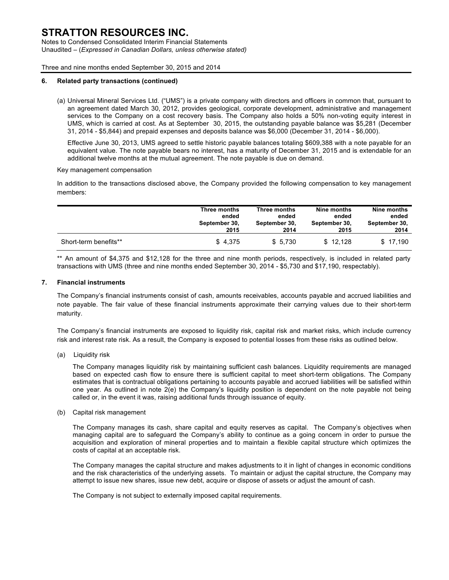Notes to Condensed Consolidated Interim Financial Statements Unaudited – (*Expressed in Canadian Dollars, unless otherwise stated)*

Three and nine months ended September 30, 2015 and 2014

### **6. Related party transactions (continued)**

(a) Universal Mineral Services Ltd. ("UMS") is a private company with directors and officers in common that, pursuant to an agreement dated March 30, 2012, provides geological, corporate development, administrative and management services to the Company on a cost recovery basis. The Company also holds a 50% non-voting equity interest in UMS, which is carried at cost. As at September 30, 2015, the outstanding payable balance was \$5,281 (December 31, 2014 - \$5,844) and prepaid expenses and deposits balance was \$6,000 (December 31, 2014 - \$6,000).

Effective June 30, 2013, UMS agreed to settle historic payable balances totaling \$609,388 with a note payable for an equivalent value. The note payable bears no interest, has a maturity of December 31, 2015 and is extendable for an additional twelve months at the mutual agreement. The note payable is due on demand.

Key management compensation

In addition to the transactions disclosed above, the Company provided the following compensation to key management members:

|                       | Three months  | Three months  | Nine months   | Nine months   |
|-----------------------|---------------|---------------|---------------|---------------|
|                       | ended         | ended         | ended         | ended         |
|                       | September 30, | September 30. | September 30. | September 30, |
|                       | 2015          | 2014          | 2015          | 2014          |
| Short-term benefits** | \$4.375       | \$5.730       | \$12.128      | \$17.190      |

\*\* An amount of \$4,375 and \$12,128 for the three and nine month periods, respectively, is included in related party transactions with UMS (three and nine months ended September 30, 2014 - \$5,730 and \$17,190, respectably).

### **7. Financial instruments**

The Company's financial instruments consist of cash, amounts receivables, accounts payable and accrued liabilities and note payable. The fair value of these financial instruments approximate their carrying values due to their short-term maturity.

The Company's financial instruments are exposed to liquidity risk, capital risk and market risks, which include currency risk and interest rate risk. As a result, the Company is exposed to potential losses from these risks as outlined below.

(a) Liquidity risk

The Company manages liquidity risk by maintaining sufficient cash balances. Liquidity requirements are managed based on expected cash flow to ensure there is sufficient capital to meet short-term obligations. The Company estimates that is contractual obligations pertaining to accounts payable and accrued liabilities will be satisfied within one year. As outlined in note 2(e) the Company's liquidity position is dependent on the note payable not being called or, in the event it was, raising additional funds through issuance of equity.

(b) Capital risk management

The Company manages its cash, share capital and equity reserves as capital. The Company's objectives when managing capital are to safeguard the Company's ability to continue as a going concern in order to pursue the acquisition and exploration of mineral properties and to maintain a flexible capital structure which optimizes the costs of capital at an acceptable risk.

The Company manages the capital structure and makes adjustments to it in light of changes in economic conditions and the risk characteristics of the underlying assets. To maintain or adjust the capital structure, the Company may attempt to issue new shares, issue new debt, acquire or dispose of assets or adjust the amount of cash.

The Company is not subject to externally imposed capital requirements.